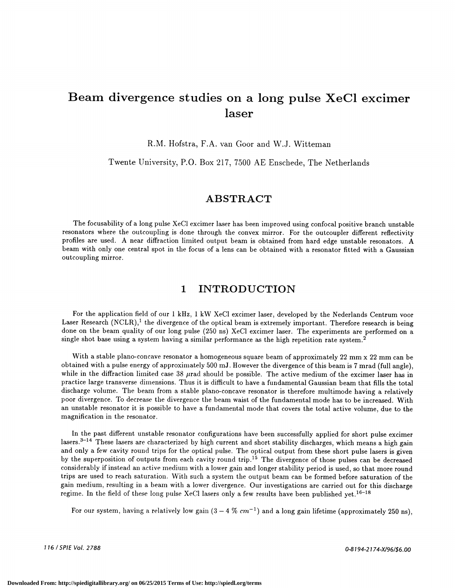# Beam divergence studies on a long pulse XeC1 excimer laser

R.M. Hofstra, F.A. van Goor and W.J. Witteman

Twente University, P.O. Box 217, 7500 AE Enschede, The Netherlands

# ABSTRACT

The focusability of a long pulse XeCI excimer laser has been improved using confocal positive branch unstable resonators where the outcoupling is done through the convex mirror. For the outcoupler different reflectivity profiles are used. A near diffraction limited output beam is obtained from hard edge unstable resonators. A beam with only one central spot in the focus of a lens can be obtained with a resonator fitted with a Gaussian outcoupling mirror.

### 1 INTRODUCTION

For the application field of our 1 kHz, 1 kW XeCl excimer laser, developed by the Nederlands Centrum voor Laser Research  $(NCLR)$ ,<sup>1</sup> the divergence of the optical beam is extremely important. Therefore research is being done on the beam quality of our long pulse (250 ns) XeCl excimer laser. The experiments are performed on a single shot base using a system having a similar performance as the high repetition rate system.<sup>2</sup>

With a stable plano-concave resonator a homogeneous square beam of approximately 22 mm x 22 mm can be obtained with a pulse energy of approximately 500 mJ. However the divergence of this beam is 7 mrad (full angle), while in the diffraction limited case 38  $\mu$ rad should be possible. The active medium of the excimer laser has in practice large transverse dimensions. Thus it is difficult to have a fundamental Gaussian beam that fills the total discharge volume. The beam from a stable plano-concave resonator is therefore multimode having a relatively poor divergence. To decrease the divergence the beam waist of the fundamental mode has to be increased. With an unstable resonator it is possible to have a fundamental mode that covers the total active volume, due to the magnification in the resonator.

In the past different unstable resonator configurations have been successfully applied for short pulse excimer lasers.<sup>3-14</sup> These lasers are characterized by high current and short stability discharges, which means a high gain and only a few cavity round trips for the optical pulse. The optical output from these short pulse lasers is given by the superposition of outputs from each cavity round trip.<sup>15</sup> The divergence of those pulses can be decreased considerably ifinstead an active medium with a lower gain and longer stability period is used, so that more round trips are used to reach saturation. With such a system the output beam can be formed before saturation of the gain medium, resulting in a beam with a lower divergence. Our investigations are carried out for this discharge regime. In the field of these long pulse XeCl lasers only a few results have been published yet.<sup>16-18</sup>

For our system, having a relatively low gain  $(3 - 4\% \text{ cm}^{-1})$  and a long gain lifetime (approximately 250 ns).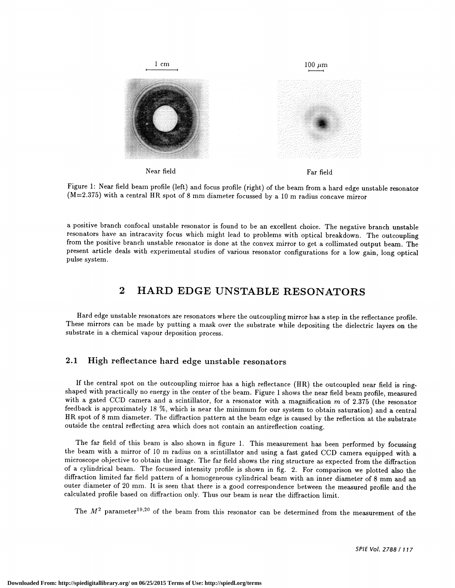

Figure 1: Near field beam profile (left) and focus profile (right) of the beam from a hard edge unstable resonator  $(M=2.375)$  with a central HR spot of 8 mm diameter focussed by a 10 m radius concave mirror

a positive branch confocal unstable resonator is found to be an excellent choice. The negative branch unstable resonators have an intracavity focus which might lead to problems with optical breakdown. The outcoupling from the positive branch unstable resonator is done at the convex mirror to get a collimated output beam. The present article deals with experimental studies of various resonator configurations for a low gain, long optical pulse system.

# 2 HARD EDGE UNSTABLE RESONATORS

Hard edge unstable resonators are resonators where the outcoupling mirror has a step in the reflectance profile. These mirrors can be made by putting a mask over the substrate while depositing the dielectric layers on the substrate in a chemical vapour deposition process.

### 2.1 High reflectance hard edge unstable resonators

If the central spot on the outcoupling mirror has a high reflectance (HR) the outcoupled near field is ringshaped with practically no energy in the center of the beam. Figure 1 shows the near field beam profile, measured with a gated CCD camera and a scintillator, for a resonator with a magnification  $m$  of 2.375 (the resonator feedback is approximately 18 %, which is near the minimum for our system to obtain saturation) and a central HR spot of 8 mm diameter. The diffraction pattern at the beam edge is caused by the reflection at the substrate outside the central reflecting area which does not contain an antireflection coating.

The far field of this beam is also shown in figure 1. This measurement has been performed by focussing the beam with a mirror of 10 m radius on a scintillator and using a fast gated CCD camera equipped with a microscope objective to obtain the image. The far field shows the ring structure as expected from the diffraction of a cylindrical beam. The focussed intensity profile is shown in fig. 2. For comparison we plotted also the diffraction limited far field pattern of a homogeneous cylindrical beam with an inner diameter of 8 mm and an outer diameter of 20 mm. It is seen that there is a good correspondence between the measured profile and the calculated profile based on diffraction only. Thus our beam is near the diffraction limit.

The  $M^2$  parameter<sup>19,20</sup> of the beam from this resonator can be determined from the measurement of the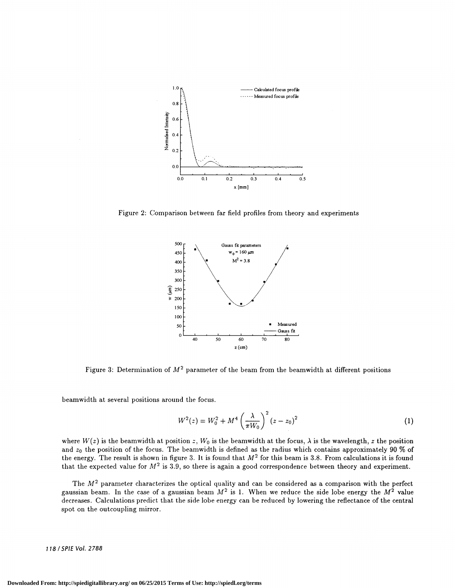

Figure 2: Comparison between far field profiles from theory and experiments



Figure 3: Determination of  $M^2$  parameter of the beam from the beamwidth at different positions

beamwidth at several positions around the focus.

$$
W^{2}(z) = W_{0}^{2} + M^{4} \left(\frac{\lambda}{\pi W_{0}}\right)^{2} (z - z_{0})^{2}
$$
 (1)

where  $W(z)$  is the beamwidth at position z,  $W_0$  is the beamwidth at the focus,  $\lambda$  is the wavelength, z the position and  $z_0$  the position of the focus. The beamwidth is defined as the radius which contains approximately 90 % of the energy. The result is shown in figure 3. It is found that  $M^2$  for this beam is 3.8. From calculations it is found that the expected value for  $M^2$  is 3.9, so there is again a good correspondence between theory and experiment.

The  $M^2$  parameter characterizes the optical quality and can be considered as a comparison with the perfect gaussian beam. In the case of a gaussian beam  $M^2$  is 1. When we reduce the side lobe energy the  $M^2$  value decreases. Calculations predict that the side lobe energy can be reduced by lowering the reflectance of the central spot on the outcoupling mirror.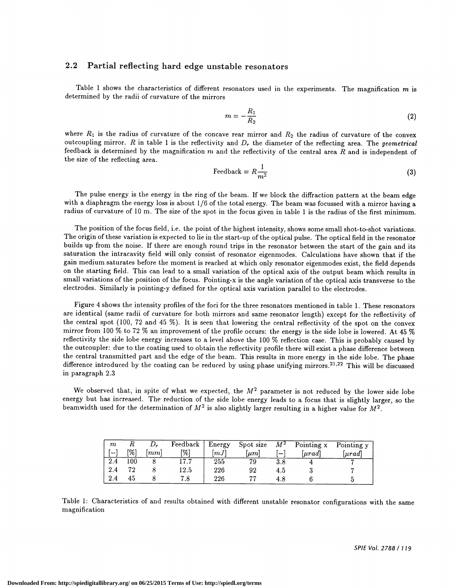#### 2.2 Partial reflecting hard edge unstable resonators

Table 1 shows the characteristics of different resonators used in the experiments. The magnification  $m$  is determined by the radii of curvature of the mirrors

$$
m = -\frac{R_1}{R_2} \tag{2}
$$

where  $R_1$  is the radius of curvature of the concave rear mirror and  $R_2$  the radius of curvature of the convex outcoupling mirror. R in table 1 is the reflectivity and  $D<sub>r</sub>$  the diameter of the reflecting area. The geometrical feedback is determined by the magnification  $m$  and the reflectivity of the central area  $R$  and is independent of the size of the reflecting area.

$$
\text{Feedback} = R \frac{1}{m^2} \tag{3}
$$

The pulse energy is the energy in the ring of the beam. If we block the diffraction pattern at the beam edge with a diaphragm the energy loss is about 1/6 of the total energy. The beam was focussed with a mirror having a radius of curvature of 10 m. The size of the spot in the focus given in table 1 is the radius of the first minimum.

The position of the focus field, i.e. the point of the highest intensity, shows some small shot-to-shot variations. The origin of these variation is expected to lie in the start-up of the optical pulse. The optical field in the resonator builds up from the noise. If there are enough round trips in the resonator between the start of the gain and its saturation the intracavity field will only consist of resonator eigenmodes. Calculations have shown that if the gain medium saturates before the moment is reached at which only resonator eigenmodes exist, the field depends on the starting field. This can lead to a small variation of the optical axis of the output beam which results in small variations of the position of the focus. Pointing-x is the angle variation of the optical axis transverse to the electrodes. Similarly is pointing-y defined for the optical axis variation parallel to the electrodes.

Figure 4 shows the intensity profiles of the foci for the three resonators mentioned in table 1 . These resonators are identical (same radii of curvature for both mirrors and same resonator length) except for the reflectivity of the central spot (100, 72 and 45 %). It is seen that lowering the central reflectivity of the spot on the convex mirror from 100 % to 72 % an improvement of the profile occurs: the energy is the side lobe is lowered. At 45 % reflectivity the side lobe energy increases to a level above the 100 % reflection case. This is probably caused by the outcoupler: due to the coating used to obtain the reflectivity profile there will exist a phase difference between the central transmitted part and the edge of the beam. This results in more energy in the side lobe. The phase difference introduced by the coating can be reduced by using phase unifying mirrors.<sup>21,22</sup> This will be discussed in paragraph 2.3

We observed that, in spite of what we expected, the  $M<sup>2</sup>$  parameter is not reduced by the lower side lobe energy but has increased. The reduction of the side lobe energy leads to a focus that is slightly larger, so the beamwidth used for the determination of  $M^2$  is also slightly larger resulting in a higher value for  $M^2$ .

| m       | R   | D, | Feedback | , Energy | Spot size | $M^2$ | Pointing x                | Pointing y  |
|---------|-----|----|----------|----------|-----------|-------|---------------------------|-------------|
|         | [%] | mm | [%]      | [mJ]     | $ \mu m $ | I —   | $\lfloor \mu rad \rfloor$ | $[\mu rad]$ |
| 2.4     | 100 |    | 17.7     | 255      | 79        | 3.8   |                           | -           |
| $2.4\,$ | 72  |    | 12.5     | 226      | 92        | 4.D   |                           |             |
| 2.4     | 45  |    | 7.8      | 226      | ,,,       |       |                           |             |

Table 1: Characteristics of and results obtained with different unstable resonator configurations with the same magnification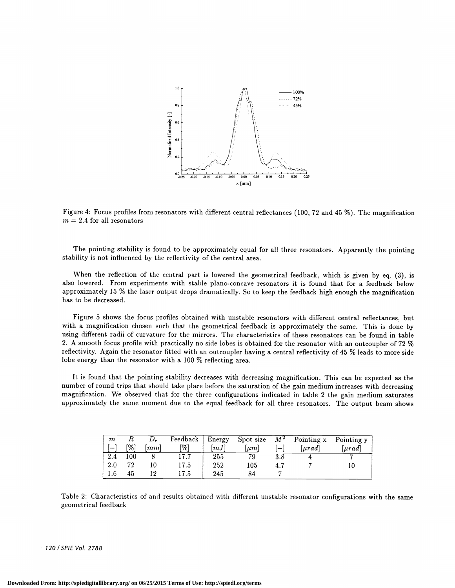

Figure 4: Focus profiles from resonators with different central reflectances (100, 72 and 45 %). The magnification  $m = 2.4$  for all resonators

The pointing stability is found to be approximately equal for all three resonators. Apparently the pointing stability is not influenced by the reflectivity of the central area.

When the reflection of the central part is lowered the geometrical feedback, which is given by eq. (3), is also lowered. From experiments with stable plano-concave resonators it is found that for a feedback below approximately 15 % the laser output drops dramatically. So to keep the feedback high enough the magnification has to be decreased.

Figure 5 shows the focus profiles obtained with unstable resonators with different central reflectances, but with a magnification chosen such that the geometrical feedback is approximately the same. This is done by using different radii of curvature for the mirrors. The characteristics of these resonators can be found in table 2. A smooth focus profile with practically no side lobes is obtained for the resonator with an outcoupler of 72 % reflectivity. Again the resonator fitted with an outcoupler having a central reflectivity of 45 % leads to more side lobe energy than the resonator with a 100 % reflecting area.

It is found that the pointing stability decreases with decreasing magnification. This can be expected as the number of round trips that should take place before the saturation of the gain medium increases with decreasing magnification. We observed that for the three configurations indicated in table 2 the gain medium saturates approximately the same moment due to the equal feedback for all three resonators. The output beam shows

| $\,m$                    |     | $D_r$          | $\sqrt{\text{Fe}}$ edback   Energy |      | Spot size   | $M^2$   | Pointing x | Pointing y |
|--------------------------|-----|----------------|------------------------------------|------|-------------|---------|------------|------------|
| $\overline{\phantom{0}}$ | [%] | m <sub>m</sub> | [%]                                | [mJ] | $  \mu m  $ | i —     | urad       | urad       |
| 2.4                      | 100 |                | 17.7                               | 255  | 79          | $3.8\,$ |            |            |
| 2.0                      | 79  |                | 17.5                               | 252  | 105         |         |            |            |
| 1.6                      | 45  | ۱۰)            | 17.5                               | 245  | 84          |         |            |            |

Table 2: Characteristics of and results obtained with different unstable resonator configurations with the same geometrical feedback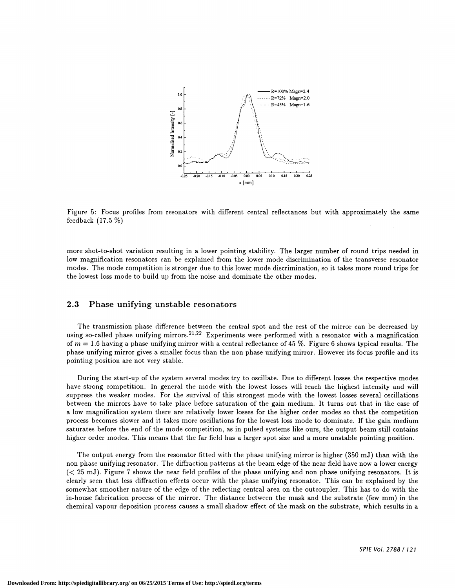

Figure 5: Focus profiles from resonators with different central refiectances but with approximately the same feedback (17.5 %)

more shot-to-shot variation resulting in a lower pointing stability. The larger number of round trips needed in low magnification resonators can be explained from the lower mode discrimination of the transverse resonator modes. The mode competition is stronger due to this lower mode discrimination, so it takes more round trips for the lowest loss mode to build up from the noise and dominate the other modes.

#### 2.3 Phase unifying unstable resonators

The transmission phase difference between the central spot and the rest of the mirror can be decreased by using so-called phase unifying mirrors.<sup>21,22</sup> Experiments were performed with a resonator with a magnification of  $m = 1.6$  having a phase unifying mirror with a central reflectance of 45 %. Figure 6 shows typical results. The phase unifying mirror gives a smaller focus than the non phase unifying mirror. However its focus profile and its pointing position are not very stable.

During the start-up of the system several modes try to oscillate. Due to different losses the respective modes have strong competition. In general the mode with the lowest losses will reach the highest intensity and will suppress the weaker modes. For the survival of this strongest mode with the lowest losses several oscillations between the mirrors have to take place before saturation of the gain medium. It turns out that in the case of a low magnification system there are relatively lower losses for the higher order modes so that the competition process becomes slower and it takes more oscillations for the lowest loss mode to dominate. If the gain medium saturates before the end of the mode competition, as in pulsed systems like ours, the output beam still contains higher order modes. This means that the far field has a larger spot size and a more unstable pointing position.

The output energy from the resonator fitted with the phase unifying mirror is higher (350 mJ) than with the non phase unifying resonator. The diffraction patterns at the beam edge of the near field have now a lower energy (< 25 mJ). Figure 7 shows the near field profiles of the phase unifying and non phase unifying resonators. It is clearly seen that less diffraction effects occur with the phase unifying resonator. This can be explained by the somewhat smoother nature of the edge of the reflecting central area on the outcoupler. This has to do with the in-house fabrication process of the mirror. The distance between the mask and the substrate (few mm) in the chemical vapour deposition process causes a small shadow effect of the mask on the substrate, which results in a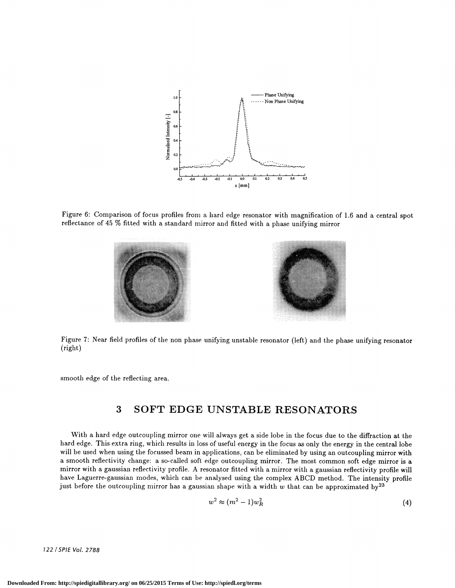

Figure 6: Comparison of focus profiles from a hard edge resonator with magnification of 1.6 and a central spot reflectance of 45 % fitted with a standard mirror and fitted with a phase unifying mirror





Figure 7: Near field profiles of the non phase unifying unstable resonator (left) and the phase unifying resonator (right)

smooth edge of the reflecting area.

# 3 SOFT EDGE UNSTABLE RESONATORS

With a hard edge outcoupling mirror one will always get a side lobe in the focus due to the diffraction at the hard edge. This extra ring, which results in loss of useful energy in the focus as only the energy in the central lobe will be used when using the focussed beam in applications, can be eliminated by using an outcoupling mirror with a smooth reflectivity change: a so-called soft edge outcoupling mirror. The most common soft edge mirror is a mirror with a gaussian reflectivity profile. A resonator fitted with a mirror with a gaussian reflectivity profile will have Laguerre-gaussian modes, which can be analysed using the complex ABCD method. The intensity profile just before the outcoupling mirror has a gaussian shape with a width  $w$  that can be approximated by<sup>23</sup>

$$
w^2 \approx (m^2 - 1)w_R^2 \tag{4}
$$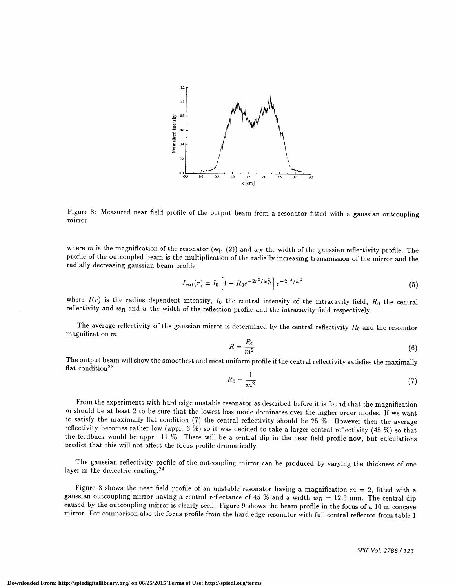

Figure 8: Measured near field profile of the output beam from a resonator fitted with a gaussian outcoupling mirror

where m is the magnification of the resonator (eq. (2)) and  $w_R$  the width of the gaussian reflectivity profile. The profile of the outcoupled beam is the multiplication of the radially increasing transmission of the mirror and the radially decreasing gaussian beam profile

$$
I_{out}(r) = I_0 \left[ 1 - R_0 e^{-2r^2/w_R^2} \right] e^{-2r^2/w^2}
$$
 (5)

where  $I(r)$  is the radius dependent intensity,  $I_0$  the central intensity of the intracavity field,  $R_0$  the central reflectivity and  $w_R$  and  $w$  the width of the reflection profile and the intracavity field respectively.

The average reflectivity of the gaussian mirror is determined by the central reflectivity  $R_0$  and the resonator magnification  $m$ 

$$
\bar{R} = \frac{R_0}{m^2} \tag{6}
$$

The output beam will show the smoothest and most uniform profile if the central reflectivity satisfies the maximally flat condition<sup>23</sup>

$$
R_0 = \frac{1}{m^2} \tag{7}
$$

From the experiments with hard edge unstable resonator as described before it is found that the magnification  $m$  should be at least 2 to be sure that the lowest loss mode dominates over the higher order modes. If we want to satisfy the maximally flat condition (7) the central reflectivity should be 25 %. However then the average reflectivity becomes rather low (appr. 6 %) so it was decided to take a larger central reflectivity (45 %) so that the feedback would be appr. 11 %. There will be a central dip in the near field profile now, but calculations predict that this will not affect the focus profile dramatically.

The gaussian reflectivity profile of the outcoupling mirror can be produced by varying the thickness of one layer in the dielectric coating.24

Figure 8 shows the near field profile of an unstable resonator having a magnification  $m = 2$ , fitted with a gaussian outcoupling mirror having a central reflectance of 45 % and a width  $w_R = 12.6$  mm. The central dip caused by the outcoupling mirror is clearly seen. Figure 9 shows the beam profile in the focus of a 10 m concave mirror. For comparison also the focus profile from the hard edge resonator with full central reflector from table 1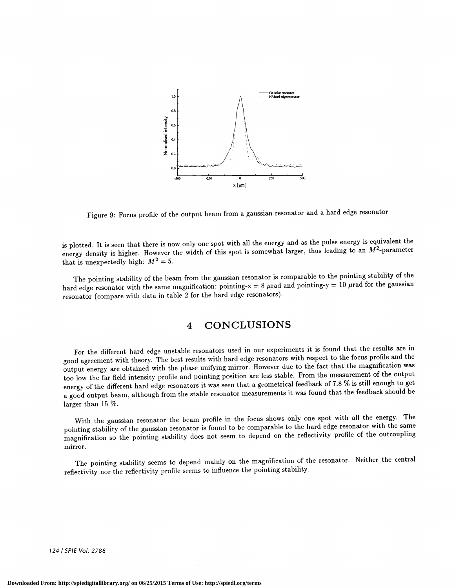

Figure 9: Focus profile of the output beam from a gaussian resonator and a hard edge resonator

is plotted. It is seen that there is now only one spot with all the energy and as the pulse energy is equivalent the energy density is higher. However the width of this spot is somewhat larger, thus leading to an  $M^2$ -parameter that is unexpectedly high:  $M^2 = 5$ .

The pointing stability of the beam from the gaussian resonator is comparable to the pointing stability of the hard edge resonator with the same magnification: pointing-x = 8  $\mu$ rad and pointing-y = 10  $\mu$ rad for the gaussian resonator (compare with data in table 2 for the hard edge resonators).

# 4 CONCLUSIONS

For the different hard edge unstable resonators used in our experiments it is found that the results are in good agreement with theory. The best results with hard edge resonators with respect to the focus profile and the output energy are obtained with the phase unifying mirror. However due to the fact that the magnification was too low the far field intensity profile and pointing position are less stable. From the measurement of the output energy of the different hard edge resonators it was seen that a geometrical feedback of 7.8 % is still enough to get a good output beam, although from the stable resonator measurementsit was found that the feedback should be larger than 15 %.

With the gaussian resonator the beam profile in the focus shows only one spot with all the energy. The pointing stability of the gaussian resonator is found to be comparable to the hard edge resonator with the same magnification so the pointing stability does not seem to depend on the reflectivity profile of the outcoupling mirror.

The pointing stability seems to depend mainly on the magnification of the resonator. Neither the central reflectivity nor the reflectivity profile seems to influence the pointing stability.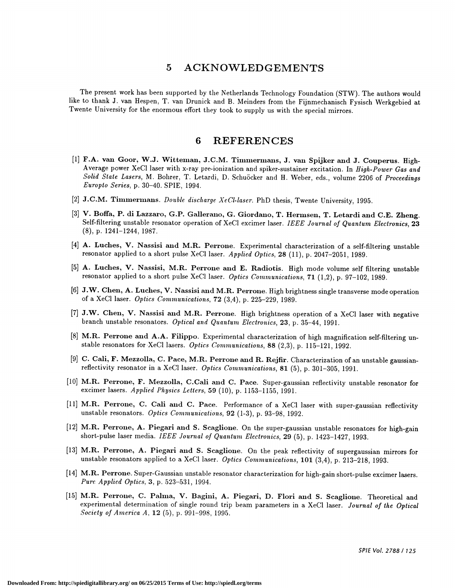### 5 ACKNOWLEDGEMENTS

The present work has been supported by the Netherlands Technology Foundation (STW). The authors would like to thank J. van Hespen, T. van Drunick and B. Meinders from the Fijnmechanisch Fysisch Werkgebied at Twente University for the enormous effort they took to supply us with the special mirrors.

### 6 REFERENCES

- [1] F.A. van Goor, W.J. Witteman, J.C.M. Timmermans, J. van Spijker and J. Couperus. High-Average power XeCl laser with x-ray pre-ionization and spiker-sustainer excitation. In High-Power Gas and Solid State Lasers, M. Bohrer, T. Letardi, D. Schuöcker and H. Weber, eds., volume 2206 of Proceedings Enropto Series, p. 30—40. SPIE, 1994.
- [2] J.C.M. Timmermans. Double discharge XeCl-laser. PhD thesis, Twente University, 1995.
- [3] V. Boffa, P. di Lazzaro, G.P. Gallerano, G. Giordano, T. Hermsen, T. Letardi and C.E. Zheng. Self-filtering unstable resonator operation of XeCl excimer laser. IEEE Journal of Quantum Electronics, 23 (8), p. 1241—1244, 1987.
- { 4] A. Luches, V. Nassisi and M.R. Perrone. Experimental characterization of a self-filtering unstable resonator applied to a short pulse XeCl laser. Applied Optics, 28 (11), p. 2047-2051, 1989.
- [5] A. Luches, V. Nassisi, M.R. Perrone and E. Radiotis. High mode volume self filtering unstable resonator applied to a short pulse XeCl laser. Optics Communications, 71 (1,2), p. 97-102, 1989.
- [6] J.W. Chen, A. Luches, V. Nassisi and M.R. Perrone. High brightness single transverse mode operation of a XeCl laser. *Optics Communications*,  $72$   $(3,4)$ , p.  $225-229$ , 1989.
- [7] J.W. Chen, V. Nassisi and M.R. Perrone. High brightness operation of a XeCl laser with negative branch unstable resonators. Optical and Quantum Electronics, 23, p. 35-44, 1991.
- [8] M.R. Perrone and A.A. Filippo. Experimental characterization of high magnification self-filtering unstable resonators for XeC1 lasers. Optics Communications,  $88$  (2,3), p. 115–121, 1992.
- [9] C. Cali, F. Mezzolla, C. Pace, M.R. Perrone and R. Rejfir. Characterization of an unstable gaussianreflectivity resonator in a XeCl laser. Optics Communications, 81 (5), p. 301-305, 1991.
- [10] M.R. Perrone, F. Mezzolla, C.Cali and C. Pace. Super-gaussian reflectivity unstable resonator for excimer lasers. Applied Physics Letters, 59 (10), p. 1153-1155, 1991.
- [11] M.R. Perrone, C. Cali and C. Pace. Performance of a XeCl laser with super-gaussian reflectivity unstable resonators. Optics Communications, 92 (1-3), p. 93-98, 1992.
- [12] M.R. Perrone, A. Piegari and S. Scaglione. On the super-gaussian unstable resonators for high-gain short-pulse laser media. IEEE Journal of Quantum Electronics, 29 (5), p. 1423—1427, 1993.
- [13] M.R. Perrone, A. Piegari and S. Scaglione. On the peak reflectivity of supergaussian mirrors for unstable resonators applied to a XeCl laser. Optics Communications, 101 (3,4), p. 213-218, 1993.
- [14] M.R. Perrone. Super-Gaussian unstable resonator characterization for high-gain short-pulse excimer lasers. Pure Applied Optics, 3, p. 523—531, 1994.
- [15] M.R. Perrone, C. Palma, V. Bagini, A. Piegari, D. Flori and S. Scaglione. Theoretical and experimental determination of single round trip beam parameters in a XeCl laser. Journal of the Optical Society of America A, 12 (5), p. 991—998, 1995.